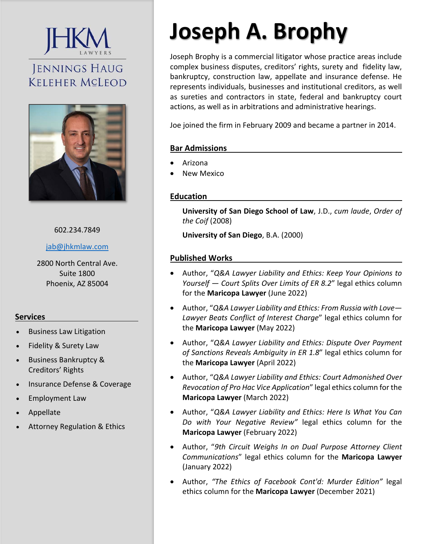# **JENNINGS HAUG KELEHER MCLEOD**



## 602.234.7849

jab@jhkmlaw.com

2800 North Central Ave. Suite 1800 Phoenix, AZ 85004

# **Services**

- Business Law Litigation
- Fidelity & Surety Law
- Business Bankruptcy & Creditors' Rights
- Insurance Defense & Coverage
- Employment Law
- Appellate
- Attorney Regulation & Ethics

# **Joseph A. Brophy**

Joseph Brophy is a commercial litigator whose practice areas include complex business disputes, creditors' rights, surety and fidelity law, bankruptcy, construction law, appellate and insurance defense. He represents individuals, businesses and institutional creditors, as well as sureties and contractors in state, federal and bankruptcy court actions, as well as in arbitrations and administrative hearings.

Joe joined the firm in February 2009 and became a partner in 2014.

## **Bar Admissions**

- Arizona
- New Mexico

# **Education**

**University of San Diego School of Law**, J.D., *cum laude*, *Order of the Coif* (2008)

**University of San Diego**, B.A. (2000)

## **Published Works**

- Author, "*Q&A Lawyer Liability and Ethics: Keep Your Opinions to Yourself — Court Splits Over Limits of ER 8.2*" legal ethics column for the **Maricopa Lawyer** (June 2022)
- Author, "*Q&A Lawyer Liability and Ethics: From Russia with Love— Lawyer Beats Conflict of Interest Charge*" legal ethics column for the **Maricopa Lawyer** (May 2022)
- Author, "*Q&A Lawyer Liability and Ethics: Dispute Over Payment of Sanctions Reveals Ambiguity in ER 1.8*" legal ethics column for the **Maricopa Lawyer** (April 2022)
- Author, "*Q&A Lawyer Liability and Ethics: Court Admonished Over Revocation of Pro Hac Vice Application*" legal ethics column for the **Maricopa Lawyer** (March 2022)
- Author, "*Q&A Lawyer Liability and Ethics: Here Is What You Can Do with Your Negative Review"* legal ethics column for the **Maricopa Lawyer** (February 2022)
- Author, "*9th Circuit Weighs In on Dual Purpose Attorney Client Communications*" legal ethics column for the **Maricopa Lawyer** (January 2022)
- Author, *"The Ethics of Facebook Cont'd: Murder Edition"*  legal ethics column for the **Maricopa Lawyer** (December 2021)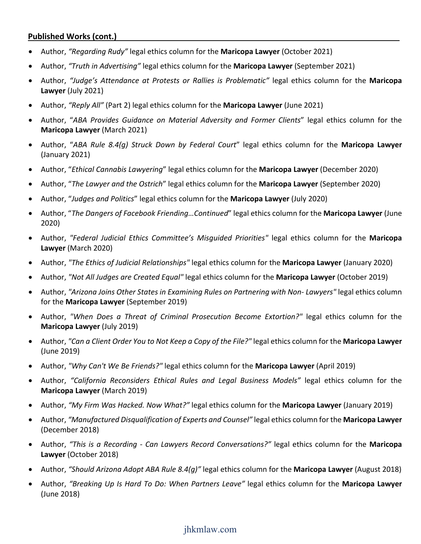# **Published Works (cont.)**

- Author, *"Regarding Rudy"* legal ethics column for the **Maricopa Lawyer** (October 2021)
- Author, *"Truth in Advertising"* legal ethics column for the **Maricopa Lawyer** (September 2021)
- Author, *"Judge's Attendance at Protests or Rallies is Problematic"* legal ethics column for the **Maricopa Lawyer** (July 2021)
- Author, *"Reply All"* (Part 2) legal ethics column for the **Maricopa Lawyer** (June 2021)
- Author, "*ABA Provides Guidance on Material Adversity and Former Clients*" legal ethics column for the **Maricopa Lawyer** (March 2021)
- Author, "*ABA Rule 8.4(g) Struck Down by Federal Court*" legal ethics column for the **Maricopa Lawyer** (January 2021)
- Author, "*Ethical Cannabis Lawyering*" legal ethics column for the **Maricopa Lawyer** (December 2020)
- Author, "*The Lawyer and the Ostrich*" legal ethics column for the **Maricopa Lawyer** (September 2020)
- Author, "*Judges and Politics*" legal ethics column for the **Maricopa Lawyer** (July 2020)
- Author, "*The Dangers of Facebook Friending…Continued*" legal ethics column for the **Maricopa Lawyer** (June 2020)
- Author, *"Federal Judicial Ethics Committee's Misguided Priorities"*  legal ethics column for the **Maricopa Lawyer** (March 2020)
- Author, *"The Ethics of Judicial Relationships"* legal ethics column for the **Maricopa Lawyer** (January 2020)
- Author, *"Not All Judges are Created Equal"* legal ethics column for the **Maricopa Lawyer** (October 2019)
- Author, "Arizona Joins Other States in Examining Rules on Partnering with Non-Lawyers" legal ethics column for the **Maricopa Lawyer** (September 2019)
- Author, *"When Does a Threat of Criminal Prosecution Become Extortion?"* legal ethics column for the **Maricopa Lawyer** (July 2019)
- Author, *"Can a Client Order You to Not Keep a Copy of the File?"* legal ethics column for the **Maricopa Lawyer** (June 2019)
- Author, *"Why Can't We Be Friends?"* legal ethics column for the **Maricopa Lawyer** (April 2019)
- Author, *"California Reconsiders Ethical Rules and Legal Business Models"*  legal ethics column for the **Maricopa Lawyer** (March 2019)
- Author, *"My Firm Was Hacked. Now What?"* legal ethics column for the **Maricopa Lawyer** (January 2019)
- Author, *"Manufactured Disqualification of Experts and Counsel"* legal ethics column for the **Maricopa Lawyer** (December 2018)
- Author, *"This is a Recording ‐ Can Lawyers Record Conversations?"*  legal ethics column for the **Maricopa Lawyer** (October 2018)
- Author, *"Should Arizona Adopt ABA Rule 8.4(g)"* legal ethics column for the **Maricopa Lawyer** (August 2018)
- Author, *"Breaking Up Is Hard To Do: When Partners Leave"* legal ethics column for the **Maricopa Lawyer** (June 2018)

# jhkmlaw.com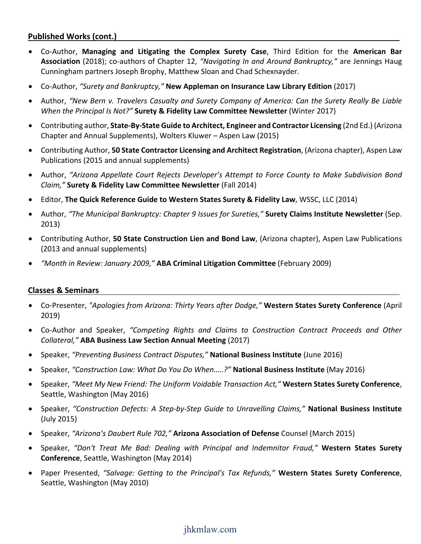# **Published Works (cont.)**

- Co‐Author, **Managing and Litigating the Complex Surety Case**, Third Edition for the **American Bar Association** (2018); co‐authors of Chapter 12, *"Navigating In and Around Bankruptcy,"* are Jennings Haug Cunningham partners Joseph Brophy, Matthew Sloan and Chad Schexnayder.
- Co‐Author, *"Surety and Bankruptcy,"* **New Appleman on Insurance Law Library Edition** (2017)
- Author, *"New Bern v. Travelers Casualty and Surety Company of America: Can the Surety Really Be Liable When the Principal Is Not?"* **Surety & Fidelity Law Committee Newsletter** (Winter 2017)
- Contributing author, **State‐By‐State Guide to Architect, Engineer and Contractor Licensing** (2nd Ed.) (Arizona Chapter and Annual Supplements), Wolters Kluwer – Aspen Law (2015)
- Contributing Author, **50 State Contractor Licensing and Architect Registration**, (Arizona chapter), Aspen Law Publications (2015 and annual supplements)
- Author, *"Arizona Appellate Court Rejects Developer's Attempt to Force County to Make Subdivision Bond Claim,"* **Surety & Fidelity Law Committee Newsletter** (Fall 2014)
- Editor, **The Quick Reference Guide to Western States Surety & Fidelity Law**, WSSC, LLC (2014)
- Author, *"The Municipal Bankruptcy: Chapter 9 Issues for Sureties,"* **Surety Claims Institute Newsletter** (Sep. 2013)
- Contributing Author, **50 State Construction Lien and Bond Law**, (Arizona chapter), Aspen Law Publications (2013 and annual supplements)
- *"Month in Review: January 2009,"* **ABA Criminal Litigation Committee** (February 2009)

### **Classes & Seminars**

- Co‐Presenter, *"Apologies from Arizona: Thirty Years after Dodge,"* **Western States Surety Conference** (April 2019)
- Co‐Author and Speaker, *"Competing Rights and Claims to Construction Contract Proceeds and Other Collateral,"* **ABA Business Law Section Annual Meeting** (2017)
- Speaker, *"Preventing Business Contract Disputes,"* **National Business Institute** (June 2016)
- Speaker, *"Construction Law: What Do You Do When…..?"* **National Business Institute** (May 2016)
- Speaker, *"Meet My New Friend: The Uniform Voidable Transaction Act,"* **Western States Surety Conference**, Seattle, Washington (May 2016)
- Speaker, *"Construction Defects: A Step‐by‐Step Guide to Unravelling Claims,"* **National Business Institute** (July 2015)
- Speaker, *"Arizona's Daubert Rule 702,"* **Arizona Association of Defense** Counsel (March 2015)
- Speaker, *"Don't Treat Me Bad: Dealing with Principal and Indemnitor Fraud,"* **Western States Surety Conference**, Seattle, Washington (May 2014)
- Paper Presented, *"Salvage: Getting to the Principal's Tax Refunds,"* **Western States Surety Conference**, Seattle, Washington (May 2010)

# jhkmlaw.com